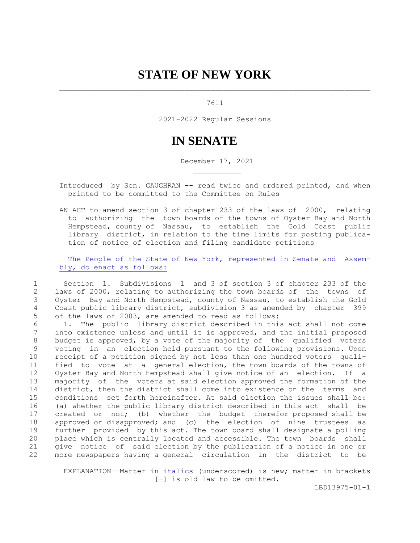## **STATE OF NEW YORK**

## 7611

2021-2022 Regular Sessions

## **IN SENATE**

December 17, 2021

Introduced by Sen. GAUGHRAN -- read twice and ordered printed, and when printed to be committed to the Committee on Rules

 AN ACT to amend section 3 of chapter 233 of the laws of 2000, relating to authorizing the town boards of the towns of Oyster Bay and North Hempstead, county of Nassau, to establish the Gold Coast public library district, in relation to the time limits for posting publica tion of notice of election and filing candidate petitions

 The People of the State of New York, represented in Senate and Assem bly, do enact as follows:

 1 Section 1. Subdivisions 1 and 3 of section 3 of chapter 233 of the 2 laws of 2000, relating to authorizing the town boards of the towns of 3 Oyster Bay and North Hempstead, county of Nassau, to establish the Gold 4 Coast public library district, subdivision 3 as amended by chapter 399 5 of the laws of 2003, are amended to read as follows:

 6 1. The public library district described in this act shall not come 7 into existence unless and until it is approved, and the initial proposed 8 budget is approved, by a vote of the majority of the qualified voters 9 voting in an election held pursuant to the following provisions. Upon 10 receipt of a petition signed by not less than one hundred voters quali-11 fied to vote at a general election, the town boards of the towns of 12 Oyster Bay and North Hempstead shall give notice of an election. If a 13 majority of the voters at said election approved the formation of the 14 district, then the district shall come into existence on the terms and 15 conditions set forth hereinafter. At said election the issues shall be: 16 (a) whether the public library district described in this act shall be 17 created or not; (b) whether the budget therefor proposed shall be 18 approved or disapproved; and (c) the election of nine trustees as 19 further provided by this act. The town board shall designate a polling 20 place which is centrally located and accessible. The town boards shall 21 give notice of said election by the publication of a notice in one or 22 more newspapers having a general circulation in the district to be

 EXPLANATION--Matter in italics (underscored) is new; matter in brackets [-] is old law to be omitted.

LBD13975-01-1